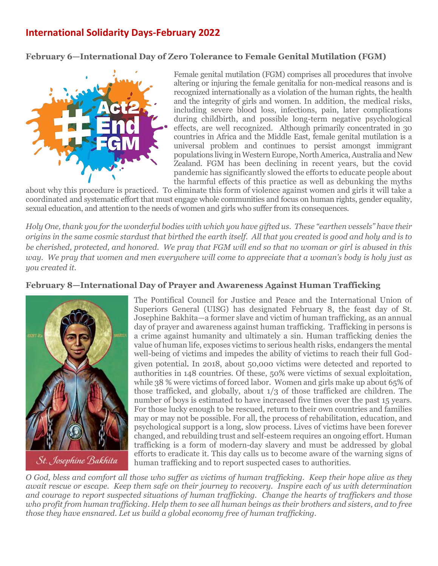# **[International Solidarity Days-February](http://www.franciscansisters-fcjm.org/index.php/en/join-us/suggested-participation/1053-participation-october-2015) 2022**

## **February 6—International Day of Zero Tolerance to Female Genital Mutilation (FGM)**



Female genital mutilation (FGM) comprises all procedures that involve altering or injuring the female genitalia for non-medical reasons and is recognized internationally as a violation of the human rights, the health and the integrity of girls and women. In addition, the medical risks, including severe blood loss, infections, pain, later complications during childbirth, and possible long-term negative psychological effects, are well recognized. Although primarily concentrated in 30 countries in Africa and the Middle East, female genital mutilation is a universal problem and continues to persist amongst immigrant populations living in Western Europe, North America,Australia and New Zealand. FGM has been declining in recent years, but the covid pandemic has significantly slowed the efforts to educate people about the harmful effects of this practice as well as debunking the myths

about why this procedure is practiced. To eliminate this form of violence against women and girls it will take a coordinated and systematic effort that must engage whole communities and focus on human rights, gender equality, sexual education, and attention to the needs of women and girls who suffer from its consequences.

*Holy One, thank you for the wonderful bodies with which you have gifted us. These "earthen vessels" have their origins in the same cosmic stardust that birthed the earth itself. All that you created is good and holy and is to be cherished, protected, and honored. We pray that FGM will end so that no woman or girl is abused in this way. We pray that women and men everywhere will come to appreciate that a woman's body is holy just as you created it.* 

### **February 8—International Day of Prayer and Awareness Against Human Trafficking**



The Pontifical Council for Justice and Peace and the International Union of Superiors General (UISG) has designated February 8, the feast day of St. Josephine Bakhita—a former slave and victim of human trafficking, as an annual day of prayer and awareness against human trafficking. Trafficking in persons is a crime against humanity and ultimately a sin. Human trafficking denies the value of human life, exposes victims to serious health risks, endangers the mental well-being of victims and impedes the ability of victims to reach their full Godgiven potential. In 2018, about 50,000 victims were detected and reported to authorities in 148 countries. Of these, 50% were victims of sexual exploitation, while 38 % were victims of forced labor. Women and girls make up about 65% of those trafficked, and globally, about 1/3 of those trafficked are children. The number of boys is estimated to have increased five times over the past 15 years. For those lucky enough to be rescued, return to their own countries and families may or may not be possible. For all, the process of rehabilitation, education, and psychological support is a long, slow process. Lives of victims have been forever changed, and rebuilding trust and self-esteem requires an ongoing effort. Human trafficking is a form of modern-day slavery and must be addressed by global efforts to eradicate it. This day calls us to become aware of the warning signs of human trafficking and to report suspected cases to authorities.

*O God, bless and comfort all those who suffer as victims of human trafficking. Keep their hope alive as they await rescue or escape. Keep them safe on their journey to recovery. Inspire each of us with determination and courage to report suspected situations of human trafficking. Change the hearts of traffickers and those who profit from human trafficking. Help them to see all human beings as their brothers and sisters, and to free those they have ensnared. Let us build a global economy free of human trafficking.*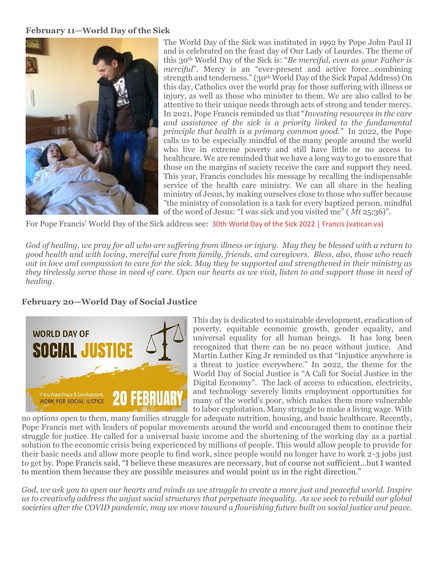#### **February 11—World Day of the Sick**



The World Day of the Sick was instituted in 1992 by Pope John Paul II and is celebrated on the feast day of Our Lady of Lourdes. The theme of this 30th World Day of the Sick is: "*Be merciful, even as your Father is merciful*". Mercy is an "ever-present and active force...combining strength and tenderness." (30<sup>th</sup> World Day of the Sick Papal Address) On this day, Catholics over the world pray for those suffering with illness or injury, as well as those who minister to them. We are also called to be attentive to their unique needs through acts of strong and tender mercy. In 2021, Pope Francis reminded us that "*Investing resources in the care and assistance of the sick is a priority linked to the fundamental principle that health is a primary common good."* In 2022, the Pope calls us to be especially mindful of the many people around the world who live in extreme poverty and still have little or no access to healthcare. We are reminded that we have a long way to go to ensure that those on the margins of society receive the care and support they need. This year, Francis concludes his message by recalling the indispensable service of the health care ministry. We can all share in the healing ministry of Jesus, by making ourselves close to those who suffer because "the ministry of consolation is a task for every baptized person, mindful of the word of Jesus: "I was sick and you visited me" ( *Mt* 25:36)".

For Pope Francis' World Day of the Sick address see: [30th World Day of the Sick 2022 | Francis \(vatican.va\)](https://www.vatican.va/content/francesco/en/messages/sick/documents/20211210_30-giornata-malato.html)

*God of healing, we pray for all who are suffering from illness or injury. May they be blessed with a return to good health and with loving, merciful care from family, friends, and caregivers. Bless, also, those who reach out in love and compassion to care for the sick. May they be supported and strengthened in their ministry as they tirelessly serve those in need of care. Open our hearts as we visit, listen to and support those in need of healing.*

# **February 20—World Day of Social Justice**



This day is dedicated to sustainable development, eradication of poverty, equitable economic growth, gender equality, and universal equality for all human beings. It has long been recognized that there can be no peace without justice. And Martin Luther King Jr reminded us that "Injustice anywhere is a threat to justice everywhere." In 2022, the theme for the World Day of Social Justice is "A Call for Social Justice in the Digital Economy". The lack of access to education, electricity, and technology severely limits employment opportunities for many of the world's poor, which makes them more vulnerable to labor exploitation. Many struggle to make a living wage. With

no options open to them, many families struggle for adequate nutrition, housing, and basic healthcare. Recently, Pope Francis met with leaders of popular movements around the world and encouraged them to continue their struggle for justice. He called for a universal basic income and the shortening of the working day as a partial solution to the economic crisis being experienced by millions of people. This would allow people to provide for their basic needs and allow more people to find work, since people would no longer have to work 2-3 jobs just to get by. Pope Francis said, "I believe these measures are necessary, but of course not sufficient…but I wanted to mention them because they are possible measures and would point us in the right direction."

*God, we ask you to open our hearts and minds as we struggle to create a more just and peaceful world. Inspire us to creatively address the unjust social structures that perpetuate inequality. As we seek to rebuild our global societies after the COVID pandemic, may we move toward a flourishing future built on social justice and peace.*